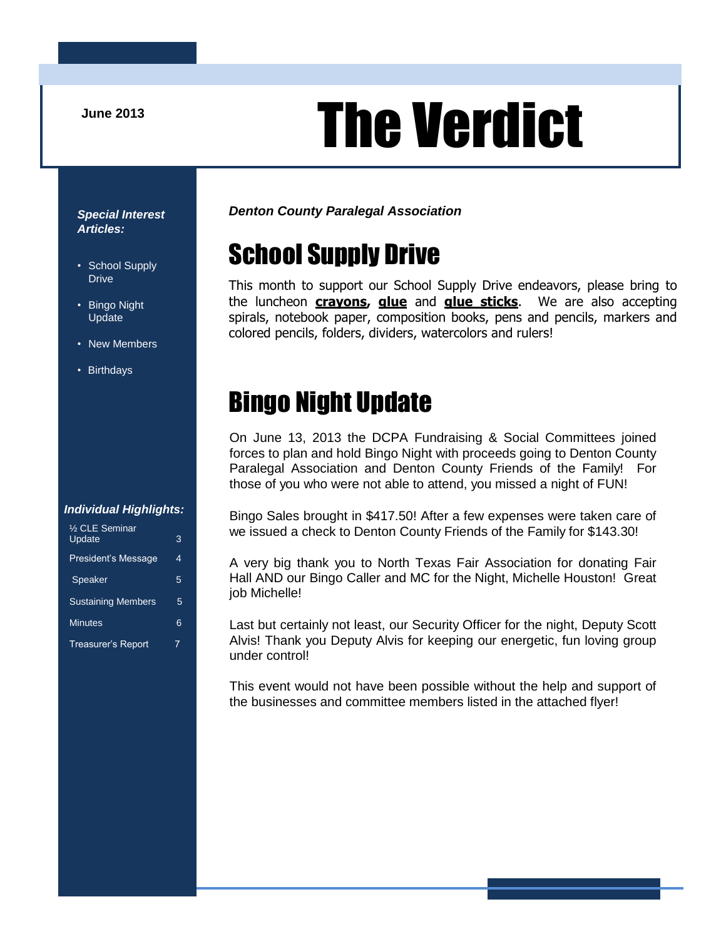# June 2013<br> **The Verdict**

#### *Special Interest Articles:*

- School Supply Drive
- Bingo Night Update
- New Members
- Birthdays

#### *Denton County Paralegal Association*

# School Supply Drive

This month to support our School Supply Drive endeavors, please bring to the luncheon **crayons, glue** and **glue sticks**. We are also accepting spirals, notebook paper, composition books, pens and pencils, markers and colored pencils, folders, dividers, watercolors and rulers!

### Bingo Night Update

On June 13, 2013 the DCPA Fundraising & Social Committees joined forces to plan and hold Bingo Night with proceeds going to Denton County Paralegal Association and Denton County Friends of the Family! For those of you who were not able to attend, you missed a night of FUN!

#### *Individual Highlights:*

| 1/2 CLE Seminar<br>Update | 3 |
|---------------------------|---|
| President's Message       | 4 |
| Speaker                   | 5 |
| <b>Sustaining Members</b> | 5 |
| <b>Minutes</b>            | 6 |
| <b>Treasurer's Report</b> | 7 |

Bingo Sales brought in \$417.50! After a few expenses were taken care of we issued a check to Denton County Friends of the Family for \$143.30!

A very big thank you to North Texas Fair Association for donating Fair Hall AND our Bingo Caller and MC for the Night, Michelle Houston! Great job Michelle!

Last but certainly not least, our Security Officer for the night, Deputy Scott Alvis! Thank you Deputy Alvis for keeping our energetic, fun loving group under control!

This event would not have been possible without the help and support of the businesses and committee members listed in the attached flyer!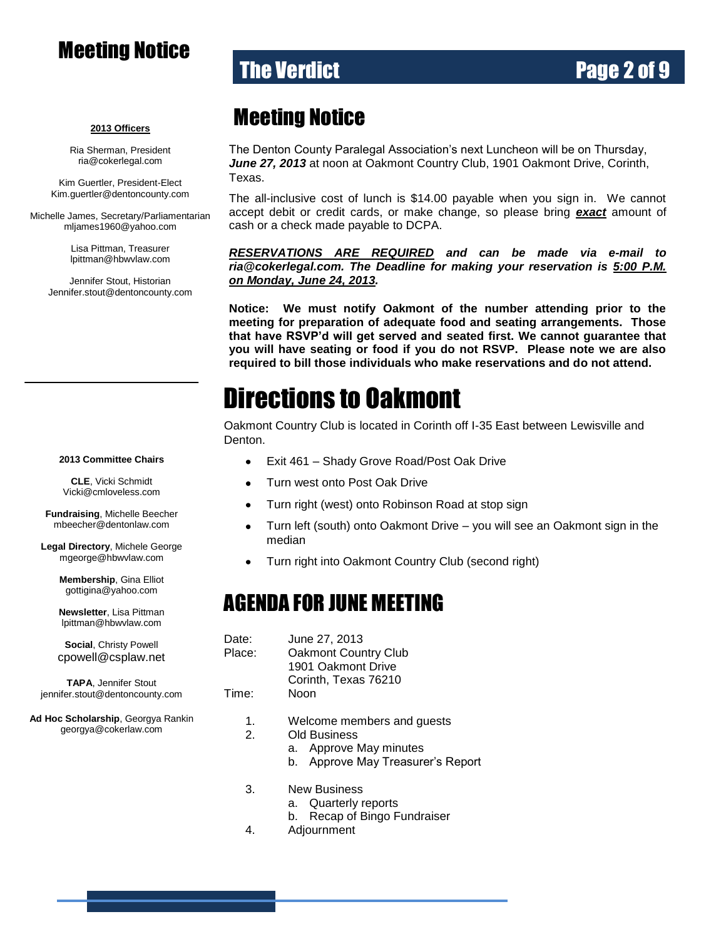### Meeting Notice

### **The Verdict Community Community Page 2 of 9**

#### **2013 Officers**

Ria Sherman, President [ria@cokerlegal.com](mailto:ria@cokerlegal.com)

Kim Guertler, President-Elect [Kim.guertler@dentoncounty.com](mailto:Kim.guertler@dentoncounty.com)

Michelle James, Secretary/Parliamentarian [mljames1960@yahoo.com](mailto:mljames1960@yahoo.com)

> Lisa Pittman, Treasurer [lpittman@hbwvlaw.com](mailto:lpittman@hbwvlaw.com)

Jennifer Stout, Historian Jennifer.stout@dentoncounty.com

#### Meeting Notice

The Denton County Paralegal Association's next Luncheon will be on Thursday, *June 27, 2013* at noon at Oakmont Country Club, 1901 Oakmont Drive, Corinth, Texas.

The all-inclusive cost of lunch is \$14.00 payable when you sign in. We cannot accept debit or credit cards, or make change, so please bring *exact* amount of cash or a check made payable to DCPA.

*RESERVATIONS ARE REQUIRED and can be made via e-mail to ria@cokerlegal.com. The Deadline for making your reservation is 5:00 P.M. on Monday, June 24, 2013.*

**Notice: We must notify Oakmont of the number attending prior to the meeting for preparation of adequate food and seating arrangements. Those that have RSVP'd will get served and seated first. We cannot guarantee that you will have seating or food if you do not RSVP. Please note we are also required to bill those individuals who make reservations and do not attend.**

### Directions to Oakmont

Oakmont Country Club is located in Corinth off I-35 East between Lewisville and Denton.

- Exit 461 Shady Grove Road/Post Oak Drive  $\bullet$
- Turn west onto Post Oak Drive  $\bullet$
- Turn right (west) onto Robinson Road at stop sign  $\bullet$
- $\bullet$ Turn left (south) onto Oakmont Drive – you will see an Oakmont sign in the median
- Turn right into Oakmont Country Club (second right)

#### AGENDA FOR JUNE MEETING

| Date:  | June 27, 2013                                     |
|--------|---------------------------------------------------|
| Place: | <b>Oakmont Country Club</b><br>1901 Oakmont Drive |
|        | Corinth, Texas 76210                              |
| Time:  | Noon                                              |
| л      | $M_{\odot}$ laanaa maanahaya amala $\ldots$       |

- 1. Welcome members and guests
- 2. Old Business
	- a. Approve May minutes
	- b. Approve May Treasurer's Report
- 3. New Business
	- a. Quarterly reports
	- b. Recap of Bingo Fundraiser
- 4. Adjournment

#### **2013 Committee Chairs**

**CLE**, Vicki Schmidt [Vicki@cmloveless.com](mailto:Vicki@cmloveless.com)

**Fundraising**, Michelle Beecher [mbeecher@dentonlaw.com](mailto:mbeecher@dentonlaw.com)

**Legal Directory**, Michele George [mgeorge@hbwvlaw.com](mailto:mgeorge@hbwvlaw.com)

> **Membership**, Gina Elliot [gottigina@yahoo.com](mailto:gottigina@yahoo.com)

> **Newsletter**, Lisa Pittman [lpittman@hbwvlaw.com](mailto:lpittman@hbwvlaw.com)

> **Social**, Christy Powell [cpowell@csplaw.net](mailto:cpowell@csplaw.net)

**TAPA**, Jennifer Stout [jennifer.stout@dentoncounty.com](mailto:sunnie@zellmerlaw.com)

**Ad Hoc Scholarship**, Georgya Rankin [georgya@cokerlaw.com](mailto:georgya@cokerlaw.com)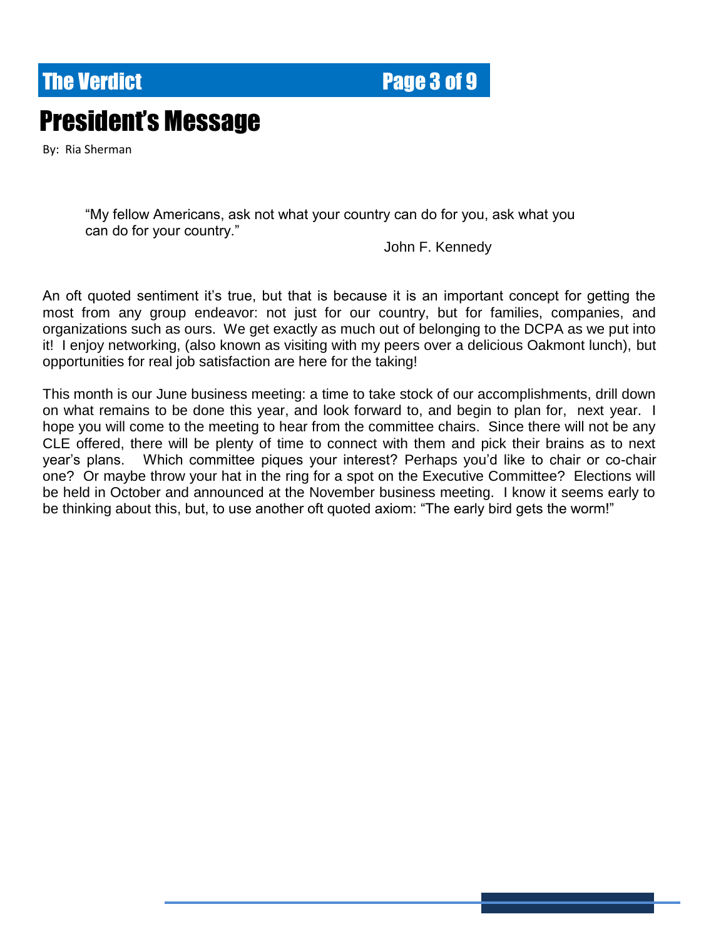### **The Verdict Electronic Electronic Page 3 of 9**

# President's Message

By: Ria Sherman

"My fellow Americans, ask not what your country can do for you, ask what you can do for your country."

John F. Kennedy

An oft quoted sentiment it's true, but that is because it is an important concept for getting the most from any group endeavor: not just for our country, but for families, companies, and organizations such as ours. We get exactly as much out of belonging to the DCPA as we put into it! I enjoy networking, (also known as visiting with my peers over a delicious Oakmont lunch), but opportunities for real job satisfaction are here for the taking!

This month is our June business meeting: a time to take stock of our accomplishments, drill down on what remains to be done this year, and look forward to, and begin to plan for, next year. I hope you will come to the meeting to hear from the committee chairs. Since there will not be any CLE offered, there will be plenty of time to connect with them and pick their brains as to next year's plans. Which committee piques your interest? Perhaps you'd like to chair or co-chair one? Or maybe throw your hat in the ring for a spot on the Executive Committee? Elections will be held in October and announced at the November business meeting. I know it seems early to be thinking about this, but, to use another oft quoted axiom: "The early bird gets the worm!"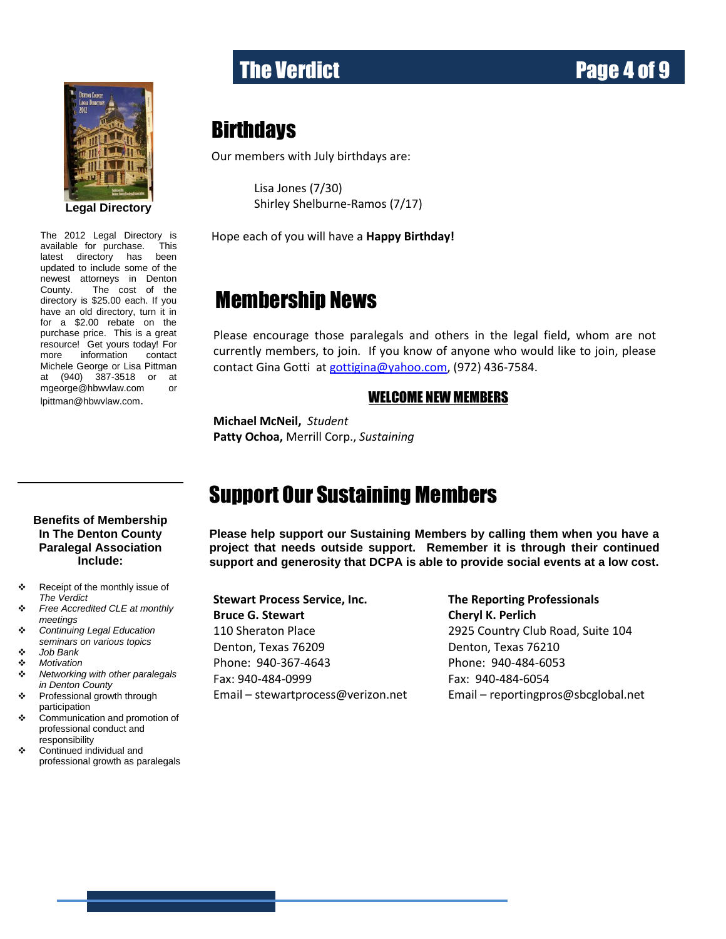

updated to include some of the The 2012 Legal Directory is available for purchase. This latest directory has been newest attorneys in Denton County. The cost of the directory is \$25.00 each. If you have an old directory, turn it in for a \$2.00 rebate on the purchase price. This is a great resource! Get yours today! For more information contact Michele George or Lisa Pittman at (940) 387-3518 or at [mgeorge@hbwvlaw.com](mailto:mgeorge@hbwvlaw.com) or [lpittman@hbwvlaw.com](mailto:lpittman@hbwvlaw.com).

# The Verdict **Page 4 of 9**

#### **Birthdays**

Our members with July birthdays are:

Lisa Jones (7/30) Shirley Shelburne-Ramos (7/17)

Hope each of you will have a **Happy Birthday!**

#### Membership News

Please encourage those paralegals and others in the legal field, whom are not currently members, to join. If you know of anyone who would like to join, please contact Gina Gotti at [gottigina@yahoo.com,](mailto:gottigina@yahoo.com) (972) 436-7584.

#### WELCOME NEW MEMBERS

**Michael McNeil,** *Student* **Patty Ochoa,** Merrill Corp., *Sustaining*

### Support Our Sustaining Members

**Please help support our Sustaining Members by calling them when you have a project that needs outside support. Remember it is through their continued support and generosity that DCPA is able to provide social events at a low cost.**

**Stewart Process Service, Inc. The Reporting Professionals Bruce G. Stewart Cheryl K. Perlich** 110 Sheraton Place 2925 Country Club Road, Suite 104 Denton, Texas 76209 Denton, Texas 76210 Phone: 940-367-4643 Phone: 940-484-6053 Fax: 940-484-0999 Fax: 940-484-6054

Email – [stewartprocess@verizon.net](mailto:stewartprocess@verizon.net) Email – [reportingpros@sbcglobal.net](mailto:reportingpros@sbcglobal.net)

#### **Benefits of Membership In The Denton County Paralegal Association Include:**

- \* Receipt of the monthly issue of *The Verdict*
- *Free Accredited CLE at monthly meetings*
- *Continuing Legal Education seminars on various topics*
- *Job Bank*
- *Motivation*
- *Networking with other paralegals in Denton County*
- Professional growth through participation
- Communication and promotion of professional conduct and responsibility
- Continued individual and professional growth as paralegals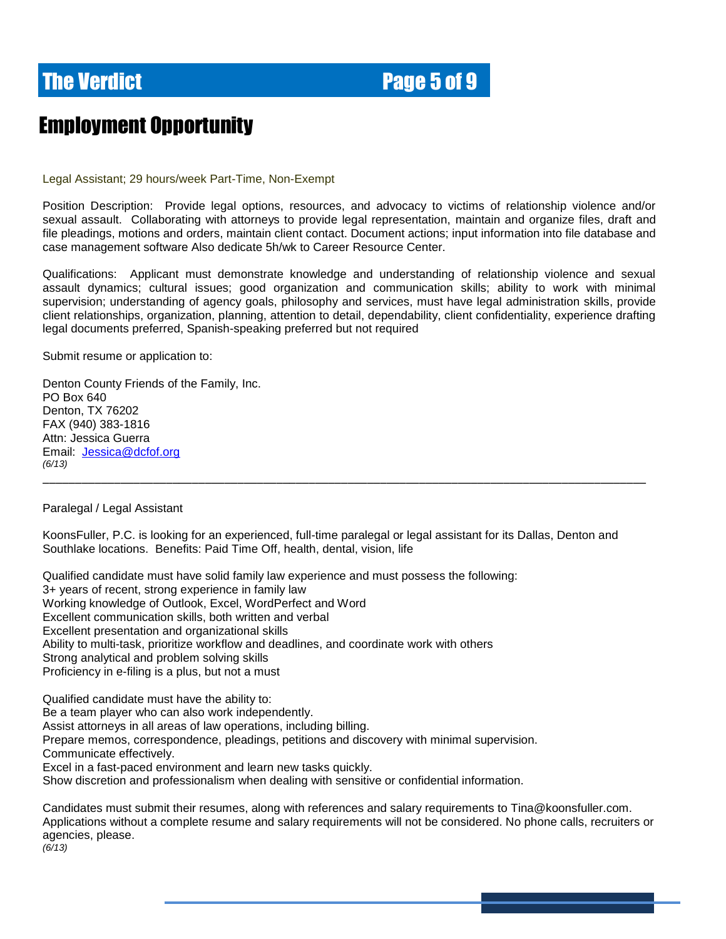### **The Verdict Electronic Electronic Page 5 of 9**

### Employment Opportunity

Legal Assistant; 29 hours/week Part-Time, Non-Exempt

Position Description: Provide legal options, resources, and advocacy to victims of relationship violence and/or sexual assault. Collaborating with attorneys to provide legal representation, maintain and organize files, draft and file pleadings, motions and orders, maintain client contact. Document actions; input information into file database and case management software Also dedicate 5h/wk to Career Resource Center.

Qualifications: Applicant must demonstrate knowledge and understanding of relationship violence and sexual assault dynamics; cultural issues; good organization and communication skills; ability to work with minimal supervision; understanding of agency goals, philosophy and services, must have legal administration skills, provide client relationships, organization, planning, attention to detail, dependability, client confidentiality, experience drafting legal documents preferred, Spanish-speaking preferred but not required

Submit resume or application to:

Denton County Friends of the Family, Inc. PO Box 640 Denton, TX 76202 FAX (940) 383-1816 Attn: Jessica Guerra Email: [Jessica@dcfof.org](mailto:Jessica@dcfof.org) *(6/13)*

Paralegal / Legal Assistant

KoonsFuller, P.C. is looking for an experienced, full-time paralegal or legal assistant for its Dallas, Denton and Southlake locations. Benefits: Paid Time Off, health, dental, vision, life

\_\_\_\_\_\_\_\_\_\_\_\_\_\_\_\_\_\_\_\_\_\_\_\_\_\_\_\_\_\_\_\_\_\_\_\_\_\_\_\_\_\_\_\_\_\_\_\_\_\_\_\_\_\_\_\_\_\_\_\_\_\_\_\_\_\_\_\_\_\_\_\_\_\_\_\_\_\_\_\_\_\_\_\_\_\_\_\_\_\_\_\_\_

Qualified candidate must have solid family law experience and must possess the following: 3+ years of recent, strong experience in family law Working knowledge of Outlook, Excel, WordPerfect and Word Excellent communication skills, both written and verbal Excellent presentation and organizational skills Ability to multi-task, prioritize workflow and deadlines, and coordinate work with others Strong analytical and problem solving skills Proficiency in e-filing is a plus, but not a must

Qualified candidate must have the ability to: Be a team player who can also work independently. Assist attorneys in all areas of law operations, including billing. Prepare memos, correspondence, pleadings, petitions and discovery with minimal supervision. Communicate effectively. Excel in a fast-paced environment and learn new tasks quickly. Show discretion and professionalism when dealing with sensitive or confidential information.

Candidates must submit their resumes, along with references and salary requirements to Tina@koonsfuller.com. Applications without a complete resume and salary requirements will not be considered. No phone calls, recruiters or agencies, please. *(6/13)*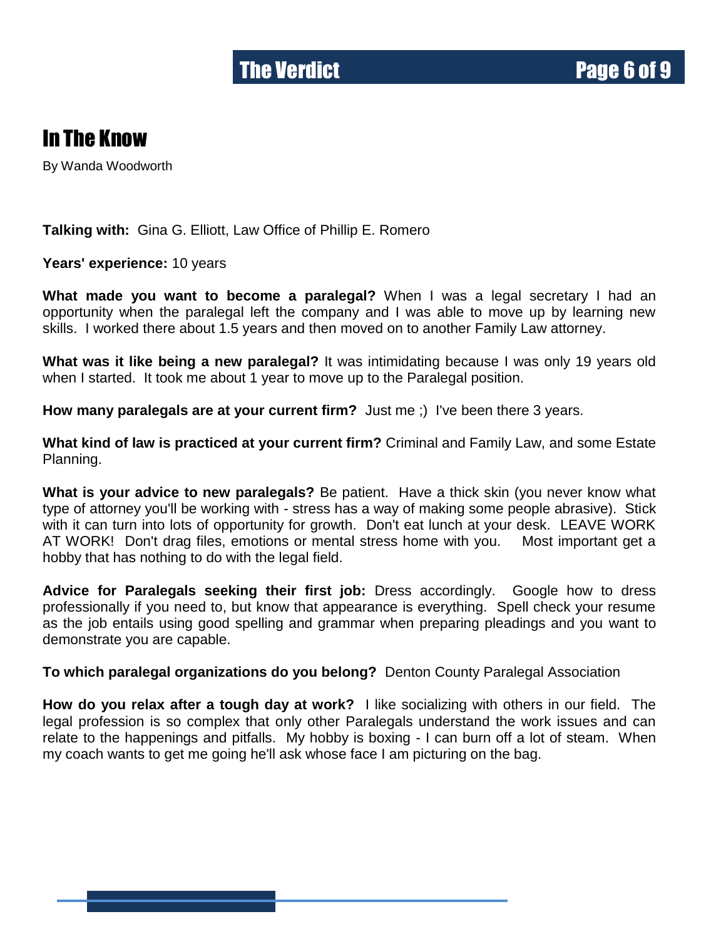### In The Know

By Wanda Woodworth

**Talking with:** Gina G. Elliott, Law Office of Phillip E. Romero

**Years' experience:** 10 years

**What made you want to become a paralegal?** When I was a legal secretary I had an opportunity when the paralegal left the company and I was able to move up by learning new skills. I worked there about 1.5 years and then moved on to another Family Law attorney.

**What was it like being a new paralegal?** It was intimidating because I was only 19 years old when I started. It took me about 1 year to move up to the Paralegal position.

**How many paralegals are at your current firm?** Just me ;) I've been there 3 years.

**What kind of law is practiced at your current firm?** Criminal and Family Law, and some Estate Planning.

**What is your advice to new paralegals?** Be patient. Have a thick skin (you never know what type of attorney you'll be working with - stress has a way of making some people abrasive). Stick with it can turn into lots of opportunity for growth. Don't eat lunch at your desk. LEAVE WORK AT WORK! Don't drag files, emotions or mental stress home with you. Most important get a hobby that has nothing to do with the legal field.

**Advice for Paralegals seeking their first job:** Dress accordingly. Google how to dress professionally if you need to, but know that appearance is everything. Spell check your resume as the job entails using good spelling and grammar when preparing pleadings and you want to demonstrate you are capable.

**To which paralegal organizations do you belong?** Denton County Paralegal Association

**How do you relax after a tough day at work?** I like socializing with others in our field. The legal profession is so complex that only other Paralegals understand the work issues and can relate to the happenings and pitfalls. My hobby is boxing - I can burn off a lot of steam. When my coach wants to get me going he'll ask whose face I am picturing on the bag.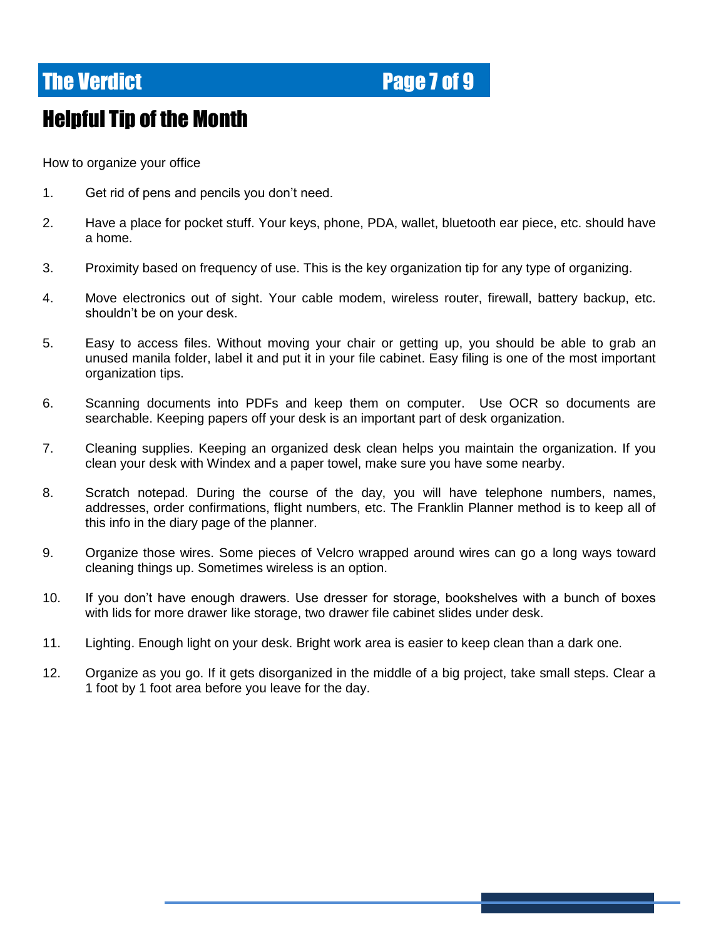#### **The Verdict Electronic Electronic Page 7 of 9**

### Helpful Tip of the Month

How to organize your office

- 1. Get rid of pens and pencils you don't need.
- 2. Have a place for pocket stuff. Your keys, phone, PDA, wallet, bluetooth ear piece, etc. should have a home.
- 3. Proximity based on frequency of use. This is the key organization tip for any type of organizing.
- 4. Move electronics out of sight. Your cable modem, wireless router, firewall, battery backup, etc. shouldn't be on your desk.
- 5. Easy to access files. Without moving your chair or getting up, you should be able to grab an unused manila folder, label it and put it in your file cabinet. Easy filing is one of the most important organization tips.
- 6. Scanning documents into PDFs and keep them on computer. Use OCR so documents are searchable. Keeping papers off your desk is an important part of desk organization.
- 7. Cleaning supplies. Keeping an organized desk clean helps you maintain the organization. If you clean your desk with Windex and a paper towel, make sure you have some nearby.
- 8. Scratch notepad. During the course of the day, you will have telephone numbers, names, addresses, order confirmations, flight numbers, etc. The Franklin Planner method is to keep all of this info in the diary page of the planner.
- 9. Organize those wires. Some pieces of Velcro wrapped around wires can go a long ways toward cleaning things up. Sometimes wireless is an option.
- 10. If you don't have enough drawers. Use dresser for storage, bookshelves with a bunch of boxes with lids for more drawer like storage, two drawer file cabinet slides under desk.
- 11. Lighting. Enough light on your desk. Bright work area is easier to keep clean than a dark one.
- 12. Organize as you go. If it gets disorganized in the middle of a big project, take small steps. Clear a 1 foot by 1 foot area before you leave for the day.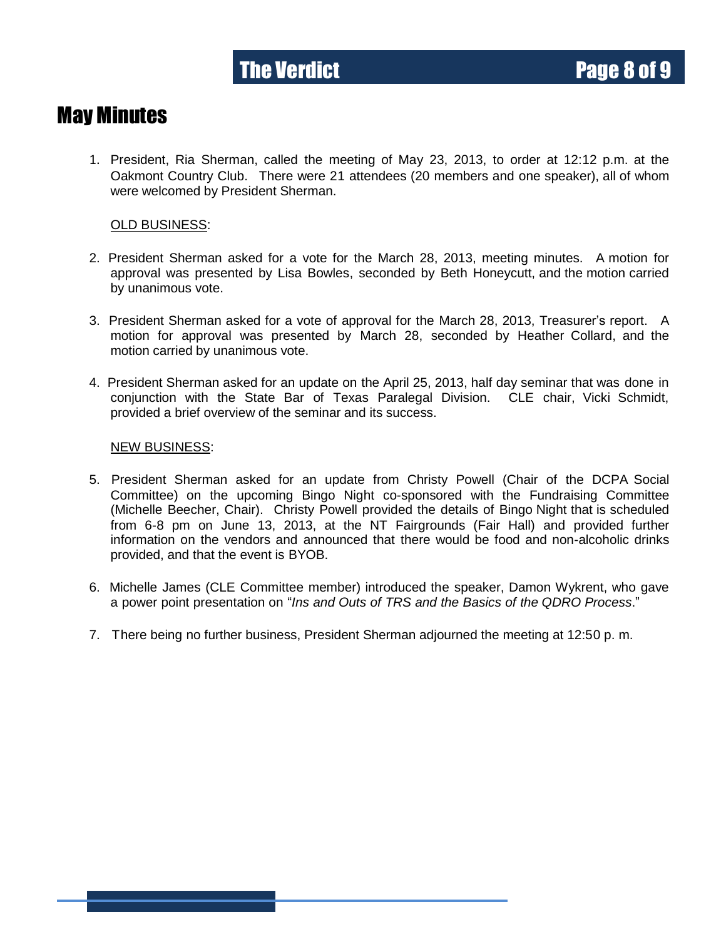#### May Minutes

1. President, Ria Sherman, called the meeting of May 23, 2013, to order at 12:12 p.m. at the Oakmont Country Club. There were 21 attendees (20 members and one speaker), all of whom were welcomed by President Sherman.

#### OLD BUSINESS:

- 2. President Sherman asked for a vote for the March 28, 2013, meeting minutes. A motion for approval was presented by Lisa Bowles, seconded by Beth Honeycutt, and the motion carried by unanimous vote.
- 3. President Sherman asked for a vote of approval for the March 28, 2013, Treasurer's report. A motion for approval was presented by March 28, seconded by Heather Collard, and the motion carried by unanimous vote.
- 4. President Sherman asked for an update on the April 25, 2013, half day seminar that was done in conjunction with the State Bar of Texas Paralegal Division. CLE chair, Vicki Schmidt, provided a brief overview of the seminar and its success.

#### NEW BUSINESS:

- 5. President Sherman asked for an update from Christy Powell (Chair of the DCPA Social Committee) on the upcoming Bingo Night co-sponsored with the Fundraising Committee (Michelle Beecher, Chair). Christy Powell provided the details of Bingo Night that is scheduled from 6-8 pm on June 13, 2013, at the NT Fairgrounds (Fair Hall) and provided further information on the vendors and announced that there would be food and non-alcoholic drinks provided, and that the event is BYOB.
- 6. Michelle James (CLE Committee member) introduced the speaker, Damon Wykrent, who gave a power point presentation on "*Ins and Outs of TRS and the Basics of the QDRO Process*."
- 7. There being no further business, President Sherman adjourned the meeting at 12:50 p. m.